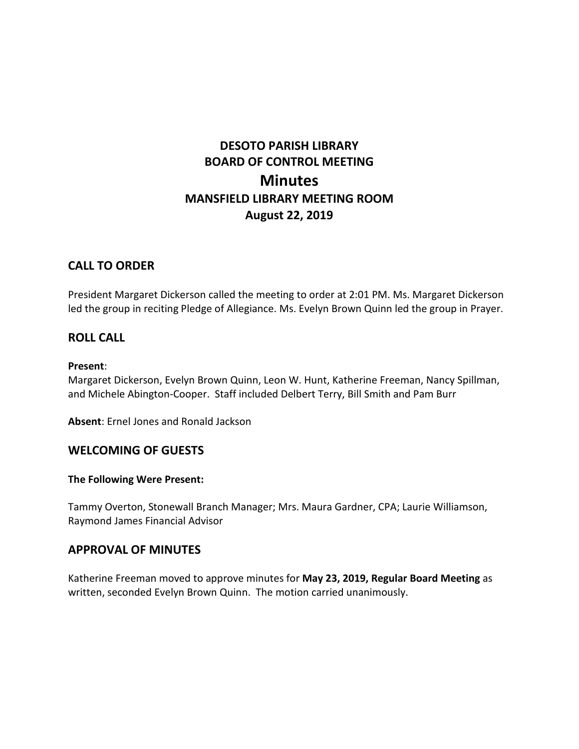# **DESOTO PARISH LIBRARY BOARD OF CONTROL MEETING Minutes MANSFIELD LIBRARY MEETING ROOM August 22, 2019**

# **CALL TO ORDER**

President Margaret Dickerson called the meeting to order at 2:01 PM. Ms. Margaret Dickerson led the group in reciting Pledge of Allegiance. Ms. Evelyn Brown Quinn led the group in Prayer.

# **ROLL CALL**

#### **Present**:

Margaret Dickerson, Evelyn Brown Quinn, Leon W. Hunt, Katherine Freeman, Nancy Spillman, and Michele Abington-Cooper. Staff included Delbert Terry, Bill Smith and Pam Burr

**Absent**: Ernel Jones and Ronald Jackson

# **WELCOMING OF GUESTS**

#### **The Following Were Present:**

Tammy Overton, Stonewall Branch Manager; Mrs. Maura Gardner, CPA; Laurie Williamson, Raymond James Financial Advisor

# **APPROVAL OF MINUTES**

Katherine Freeman moved to approve minutes for **May 23, 2019, Regular Board Meeting** as written, seconded Evelyn Brown Quinn. The motion carried unanimously.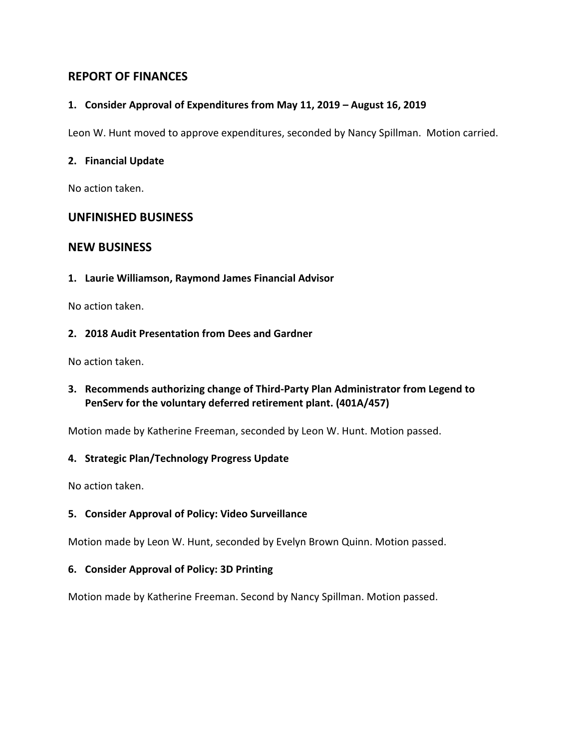# **REPORT OF FINANCES**

#### **1. Consider Approval of Expenditures from May 11, 2019 – August 16, 2019**

Leon W. Hunt moved to approve expenditures, seconded by Nancy Spillman. Motion carried.

#### **2. Financial Update**

No action taken.

# **UNFINISHED BUSINESS**

# **NEW BUSINESS**

**1. Laurie Williamson, Raymond James Financial Advisor**

No action taken.

#### **2. 2018 Audit Presentation from Dees and Gardner**

No action taken.

# **3. Recommends authorizing change of Third-Party Plan Administrator from Legend to PenServ for the voluntary deferred retirement plant. (401A/457)**

Motion made by Katherine Freeman, seconded by Leon W. Hunt. Motion passed.

#### **4. Strategic Plan/Technology Progress Update**

No action taken.

#### **5. Consider Approval of Policy: Video Surveillance**

Motion made by Leon W. Hunt, seconded by Evelyn Brown Quinn. Motion passed.

#### **6. Consider Approval of Policy: 3D Printing**

Motion made by Katherine Freeman. Second by Nancy Spillman. Motion passed.